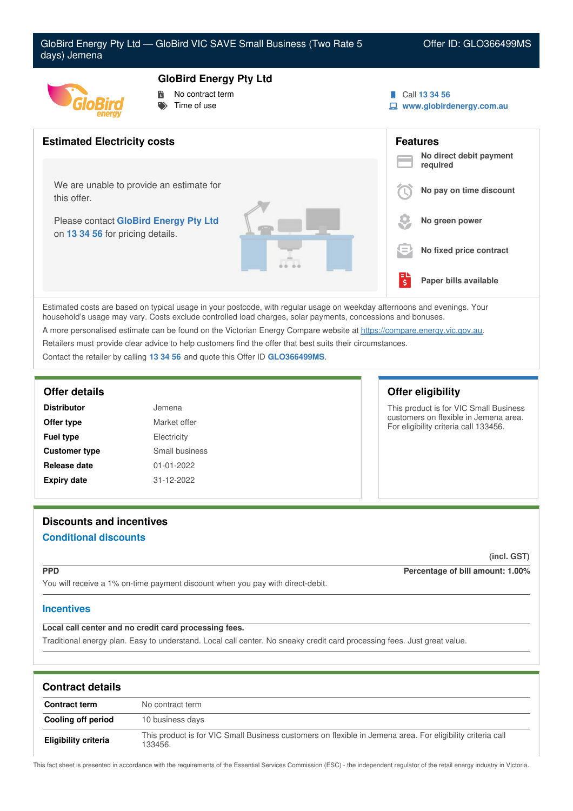



### **GloBird Energy Pty Ltd**

- No contract term
- Time of use
- Call **13 34 56**
- **www.globirdenergy.com.au**



Estimated costs are based on typical usage in your postcode, with regular usage on weekday afternoons and evenings. Your household's usage may vary. Costs exclude controlled load charges, solar payments, concessions and bonuses. A more personalised estimate can be found on the Victorian Energy Compare website at <https://compare.energy.vic.gov.au>.

Retailers must provide clear advice to help customers find the offer that best suits their circumstances.

Contact the retailer by calling **13 34 56** and quote this Offer ID **GLO366499MS**.

| <b>Distributor</b>         | Jemena           |  |
|----------------------------|------------------|--|
| Market offer<br>Offer type |                  |  |
| <b>Fuel type</b>           | Electricity      |  |
| <b>Customer type</b>       | Small business   |  |
| Release date               | $01 - 01 - 2022$ |  |
| <b>Expiry date</b>         | 31-12-2022       |  |

### **Offer details Offer eligibility**

This product is for VIC Small Business customers on flexible in Jemena area. For eligibility criteria call 133456.

# **Discounts and incentives**

## **Conditional discounts**

**(incl. GST)**

**PPD Percentage of bill amount: 1.00%**

You will receive a 1% on-time payment discount when you pay with direct-debit.

### **Incentives**

**Local call center and no credit card processing fees.**

Traditional energy plan. Easy to understand. Local call center. No sneaky credit card processing fees. Just great value.

| <b>Contract details</b>     |                                                                                                                       |
|-----------------------------|-----------------------------------------------------------------------------------------------------------------------|
| <b>Contract term</b>        | No contract term                                                                                                      |
| Cooling off period          | 10 business days                                                                                                      |
| <b>Eligibility criteria</b> | This product is for VIC Small Business customers on flexible in Jemena area. For eligibility criteria call<br>133456. |

This fact sheet is presented in accordance with the requirements of the Essential Services Commission (ESC) - the independent regulator of the retail energy industry in Victoria.